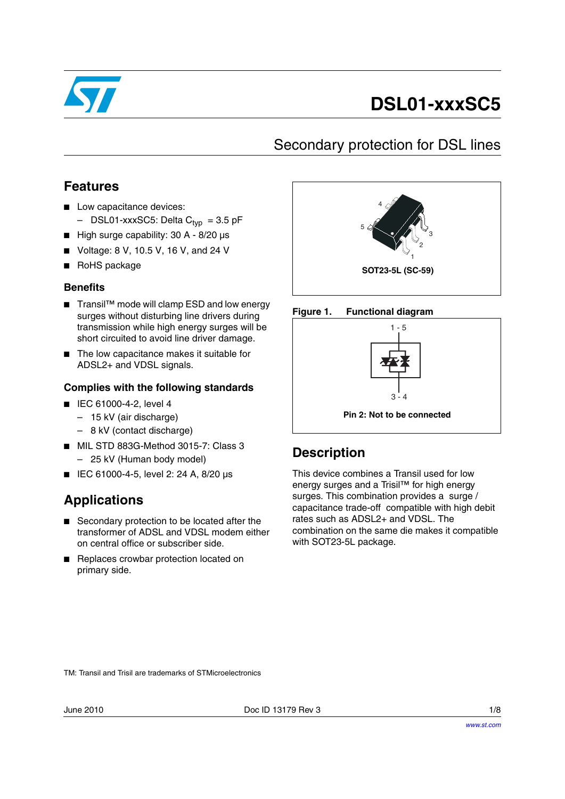

# **DSL01-xxxSC5**

### Secondary protection for DSL lines

#### **Features**

- Low capacitance devices:
	- $-$  DSL01-xxxSC5: Delta  $C_{typ}$  = 3.5 pF
- High surge capability: 30 A 8/20 µs
- Voltage: 8 V, 10.5 V, 16 V, and 24 V
- RoHS package

#### **Benefits**

- Transil<sup>™</sup> mode will clamp ESD and low energy surges without disturbing line drivers during transmission while high energy surges will be short circuited to avoid line driver damage.
- The low capacitance makes it suitable for ADSL2+ and VDSL signals.

#### **Complies with the following standards**

- IEC 61000-4-2, level 4
	- 15 kV (air discharge)
	- 8 kV (contact discharge)
- MIL STD 883G-Method 3015-7: Class 3 – 25 kV (Human body model)
- IEC 61000-4-5, level 2: 24 A, 8/20 µs

#### **Applications**

- Secondary protection to be located after the transformer of ADSL and VDSL modem either on central office or subscriber side.
- Replaces crowbar protection located on primary side.







### **Description**

This device combines a Transil used for low energy surges and a Trisil™ for high energy surges. This combination provides a surge / capacitance trade-off compatible with high debit rates such as ADSL2+ and VDSL. The combination on the same die makes it compatible with SOT23-5L package.

TM: Transil and Trisil are trademarks of STMicroelectronics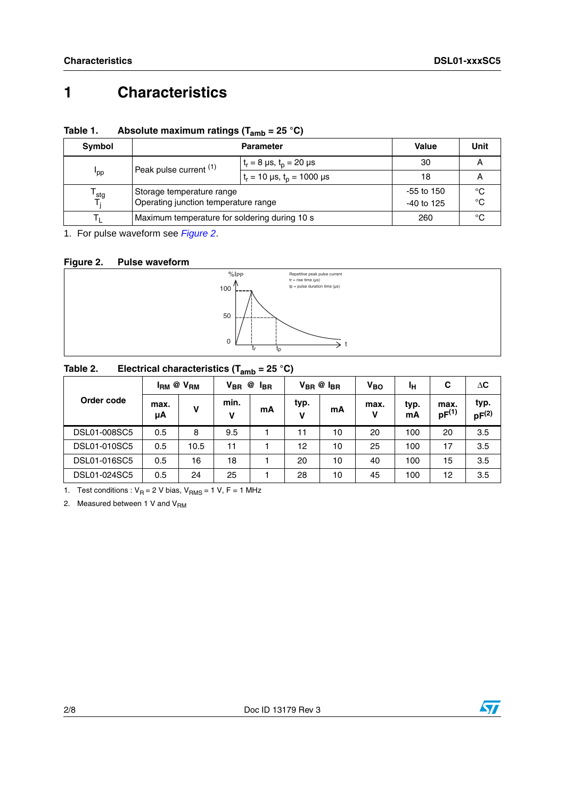## **1 Characteristics**

| Table 1. | Absolute maximum ratings ( $T_{amb}$ = 25 °C) |  |
|----------|-----------------------------------------------|--|
|----------|-----------------------------------------------|--|

| Symbol           |                                               | <b>Parameter</b>                          | Value | Unit |
|------------------|-----------------------------------------------|-------------------------------------------|-------|------|
| 'pp              | Peak pulse current (1)                        | $t_r = 8 \,\mu s, t_p = 20 \,\mu s$       | 30    |      |
|                  |                                               | $t_r = 10 \,\mu s$ , $t_p = 1000 \,\mu s$ | 18    |      |
| <sup>l</sup> stg | Storage temperature range                     | $-55$ to 150                              | °C    |      |
|                  | Operating junction temperature range          | $-40$ to 125                              | °C    |      |
|                  | Maximum temperature for soldering during 10 s | 260                                       | °C    |      |

1. For pulse waveform see *[Figure 2](#page-1-0)*.

#### <span id="page-1-0"></span>**Figure 2. Pulse waveform**



#### **Table 2. Electrical characteristics (Tamb = 25 °C)**

| Order code   | $I_{\rm RM}$ @ $V_{\rm RM}$ |      | $V_{BR}$<br>@<br><sup>I</sup> BR |    | $V_{BR}$ $\otimes$ $I_{BR}$ |    | $V_{BO}$  | ١н         | С                  | $\Delta C$         |
|--------------|-----------------------------|------|----------------------------------|----|-----------------------------|----|-----------|------------|--------------------|--------------------|
|              | max.<br>μA                  | v    | min.<br>V                        | mA | typ.<br>v                   | mA | max.<br>v | typ.<br>mA | max.<br>$pF^{(1)}$ | typ.<br>$pF^{(2)}$ |
| DSL01-008SC5 | 0.5                         | 8    | 9.5                              |    | 11                          | 10 | 20        | 100        | 20                 | 3.5                |
| DSL01-010SC5 | 0.5                         | 10.5 | 11                               |    | 12                          | 10 | 25        | 100        | 17                 | 3.5                |
| DSL01-016SC5 | 0.5                         | 16   | 18                               |    | 20                          | 10 | 40        | 100        | 15                 | 3.5                |
| DSL01-024SC5 | 0.5                         | 24   | 25                               |    | 28                          | 10 | 45        | 100        | 12                 | 3.5                |

1. Test conditions :  $V_R = 2$  V bias,  $V_{RMS} = 1$  V, F = 1 MHz

2. Measured between 1 V and  $V<sub>BM</sub>$ 

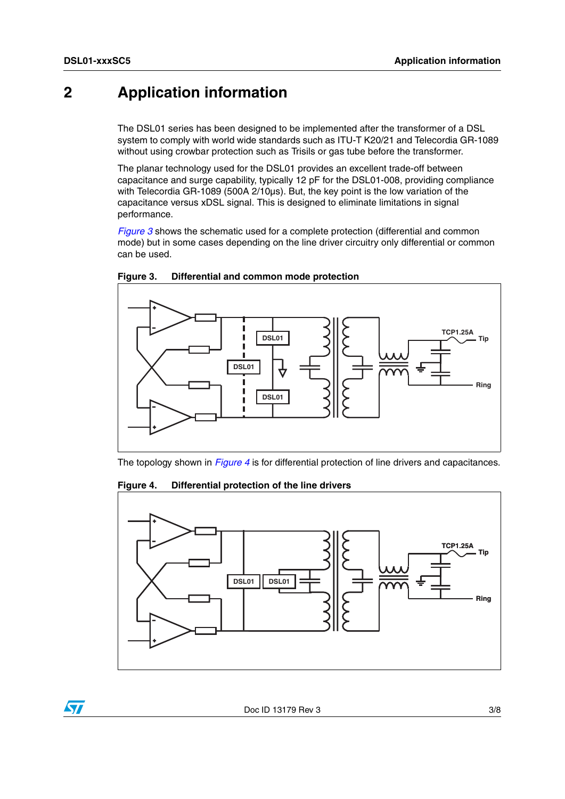### **2 Application information**

The DSL01 series has been designed to be implemented after the transformer of a DSL system to comply with world wide standards such as ITU-T K20/21 and Telecordia GR-1089 without using crowbar protection such as Trisils or gas tube before the transformer.

The planar technology used for the DSL01 provides an excellent trade-off between capacitance and surge capability, typically 12 pF for the DSL01-008, providing compliance with Telecordia GR-1089 (500A 2/10µs). But, the key point is the low variation of the capacitance versus xDSL signal. This is designed to eliminate limitations in signal performance.

*[Figure 3](#page-2-0)* shows the schematic used for a complete protection (differential and common mode) but in some cases depending on the line driver circuitry only differential or common can be used.



<span id="page-2-0"></span>**Figure 3. Differential and common mode protection**

The topology shown in *[Figure 4](#page-2-1)* is for differential protection of line drivers and capacitances.

<span id="page-2-1"></span>**Figure 4. Differential protection of the line drivers**



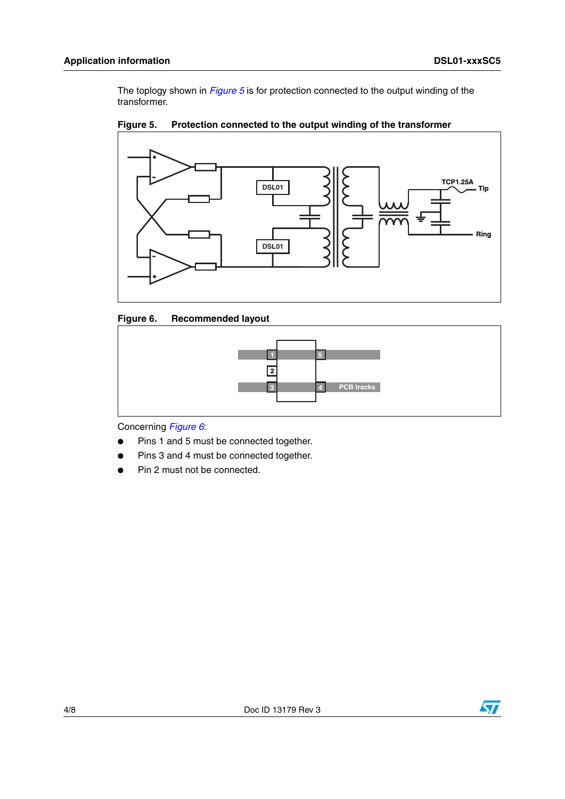The toplogy shown in *[Figure 5](#page-3-0)* is for protection connected to the output winding of the transformer.



<span id="page-3-0"></span>

<span id="page-3-1"></span>



Concerning *[Figure 6](#page-3-1)*:

- Pins 1 and 5 must be connected together.
- Pins 3 and 4 must be connected together.
- Pin 2 must not be connected.

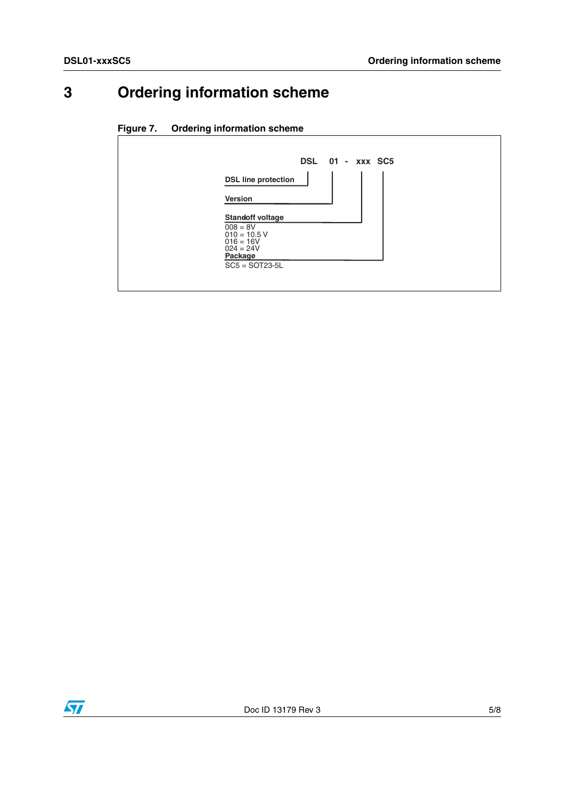## **3 Ordering information scheme**

#### **Figure 7. Ordering information scheme**



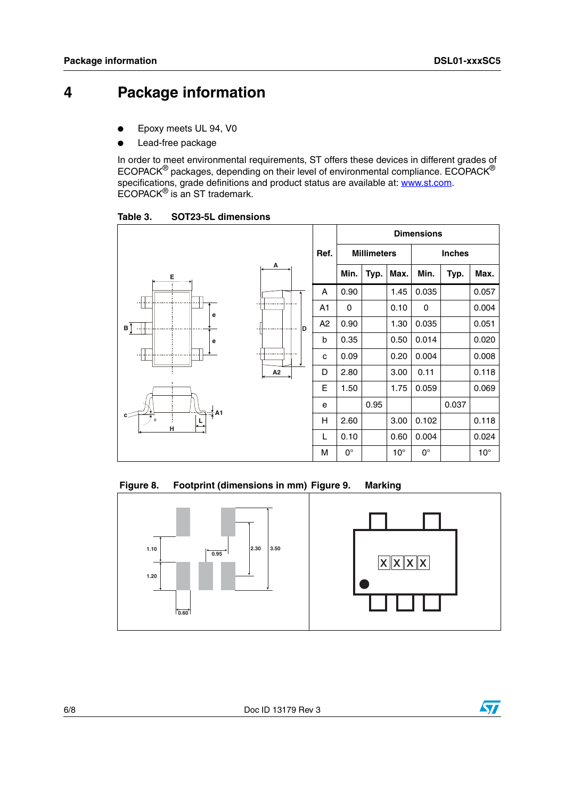## **4 Package information**

- Epoxy meets UL 94, V0
- Lead-free package

In order to meet environmental requirements, ST offers these devices in different grades of ECOPACK® packages, depending on their level of environmental compliance. ECOPACK® specifications, grade definitions and product status are available at: **www.st.com**. ECOPACK® is an ST trademark.

Table 3. **Table 3. SOT23-5L dimensions**



Figure 8. Footprint (dimensions in mm) Figure 9. Marking



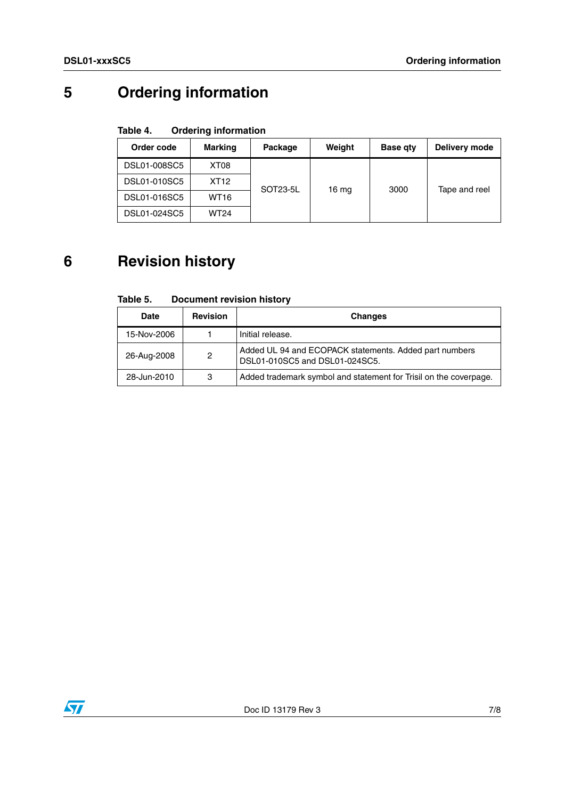## **5 Ordering information**

#### Table 4. **Ordering information**

| Order code   | <b>Marking</b>   | Package  | Weight  | Base qty | Delivery mode |
|--------------|------------------|----------|---------|----------|---------------|
| DSL01-008SC5 | XT <sub>08</sub> |          |         |          |               |
| DSL01-010SC5 | XT <sub>12</sub> | SOT23-5L | 16 $mg$ | 3000     | Tape and reel |
| DSL01-016SC5 | <b>WT16</b>      |          |         |          |               |
| DSL01-024SC5 | <b>WT24</b>      |          |         |          |               |

## **6 Revision history**

#### Table 5. **Document revision history**

| <b>Date</b> | <b>Revision</b> | <b>Changes</b>                                                                           |
|-------------|-----------------|------------------------------------------------------------------------------------------|
| 15-Nov-2006 |                 | Initial release.                                                                         |
| 26-Aug-2008 | 2               | Added UL 94 and ECOPACK statements. Added part numbers<br>DSL01-010SC5 and DSL01-024SC5. |
| 28-Jun-2010 | 3               | Added trademark symbol and statement for Trisil on the coverpage.                        |